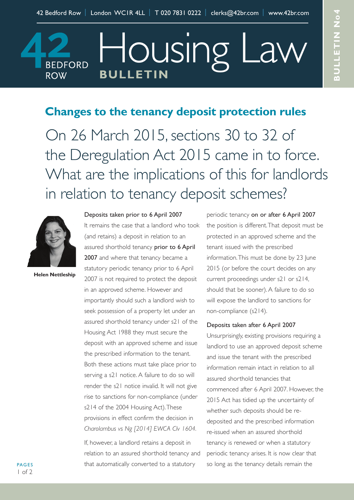Housing Law

## **Changes to the tenancy deposit protection rules**

On 26 March 2015, sections 30 to 32 of the Deregulation Act 2015 came in to force. What are the implications of this for landlords in relation to tenancy deposit schemes?



**BEDFORD** 

**ROW** 

**Helen Nettleship**

## Deposits taken prior to 6 April 2007

**BULLETIN**

It remains the case that a landlord who took (and retains) a deposit in relation to an assured shorthold tenancy prior to 6 April 2007 and where that tenancy became a statutory periodic tenancy prior to 6 April 2007 is not required to protect the deposit in an approved scheme. However and importantly should such a landlord wish to seek possession of a property let under an assured shorthold tenancy under s21 of the Housing Act 1988 they must secure the deposit with an approved scheme and issue the prescribed information to the tenant. Both these actions must take place prior to serving a s21 notice. A failure to do so will render the s21 notice invalid. It will not give rise to sanctions for non-compliance (under s214 of the 2004 Housing Act). These provisions in effect confirm the decision in *Charolambus vs Ng [2014] EWCA CIv 1604.*

If, however, a landlord retains a deposit in relation to an assured shorthold tenancy and that automatically converted to a statutory

periodic tenancy on or after 6 April 2007 the position is different.That deposit must be protected in an approved scheme and the tenant issued with the prescribed information.This must be done by 23 June 2015 (or before the court decides on any current proceedings under s21 or s214, should that be sooner). A failure to do so will expose the landlord to sanctions for non-compliance (s214).

## Deposits taken after 6 April 2007

Unsurprisingly, existing provisions requiring a landlord to use an approved deposit scheme and issue the tenant with the prescribed information remain intact in relation to all assured shorthold tenancies that commenced after 6 April 2007. However, the 2015 Act has tidied up the uncertainty of whether such deposits should be redeposited and the prescribed information re-issued when an assured shorthold tenancy is renewed or when a statutory periodic tenancy arises. It is now clear that so long as the tenancy details remain the